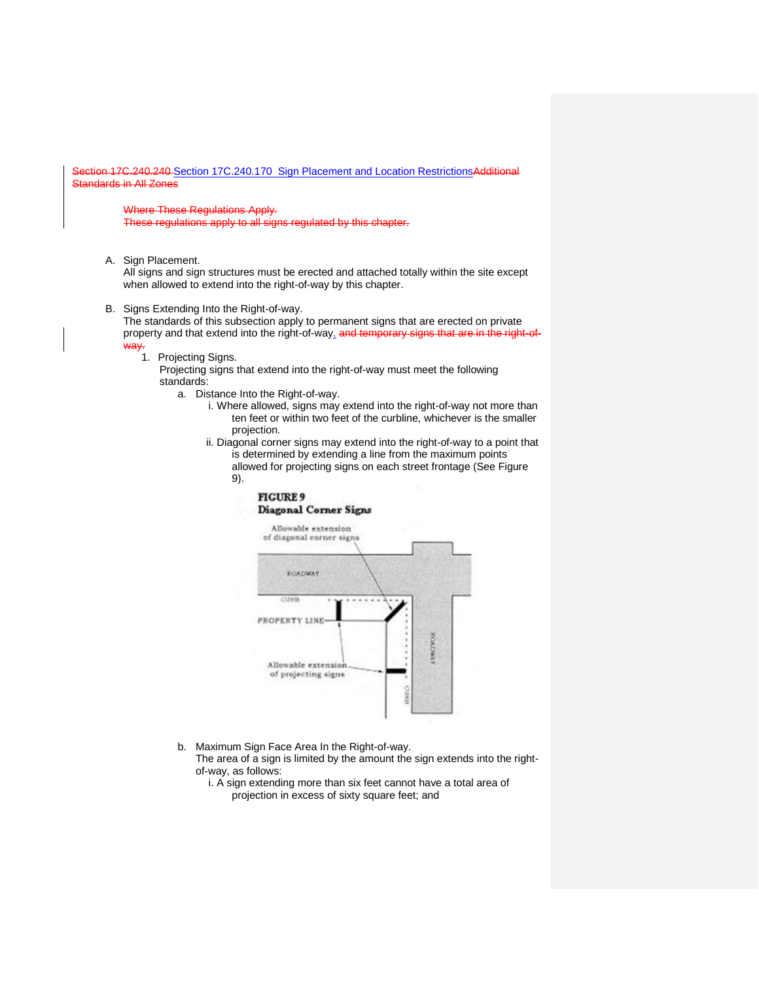ion 17C.240.240 [Section 17C.240.170](https://my.spokanecity.org/smc/?Section=17C.240.240) Sign Placement and Location RestrictionsAdditional Standards in All Zones

Where These Regulations Apply.

These regulations apply to all signs regulated by this chapter

A. Sign Placement.

All signs and sign structures must be erected and attached totally within the site except when allowed to extend into the right-of-way by this chapter.

B. Signs Extending Into the Right-of-way.

The standards of this subsection apply to permanent signs that are erected on private property and that extend into the right-of-way. and temporary signs that are in the right-ofway.

1. Projecting Signs.

Projecting signs that extend into the right-of-way must meet the following standards:

- a. Distance Into the Right-of-way.
	- i. Where allowed, signs may extend into the right-of-way not more than ten feet or within two feet of the curbline, whichever is the smaller projection.
	- ii. Diagonal corner signs may extend into the right-of-way to a point that is determined by extending a line from the maximum points allowed for projecting signs on each street frontage (See Figure
		- 9).

### **FIGURE 9** Diagonal Corner Signs



b. Maximum Sign Face Area In the Right-of-way.

The area of a sign is limited by the amount the sign extends into the rightof-way, as follows:

i. A sign extending more than six feet cannot have a total area of projection in excess of sixty square feet; and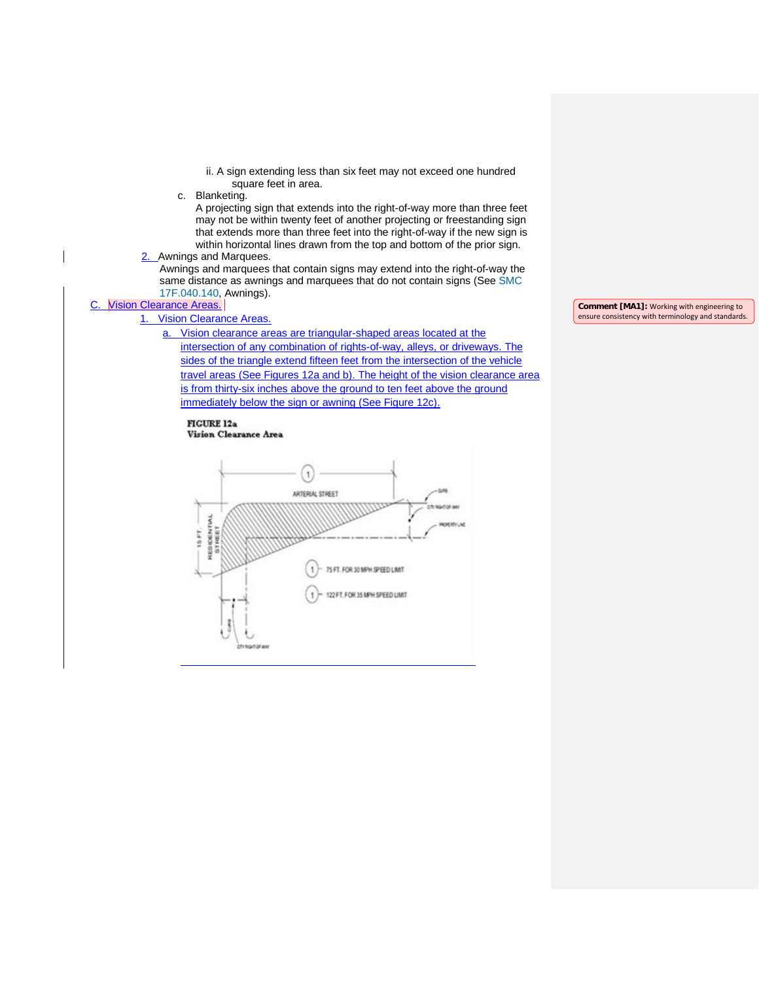- ii. A sign extending less than six feet may not exceed one hundred square feet in area.
- c. Blanketing.

A projecting sign that extends into the right-of-way more than three feet may not be within twenty feet of another projecting or freestanding sign that extends more than three feet into the right-of-way if the new sign is within horizontal lines drawn from the top and bottom of the prior sign.

2. Awnings and Marquees.

Awnings and marquees that contain signs may extend into the right-of-way the same distance as awnings and marquees that do not contain signs (Se[e SMC](https://my.spokanecity.org/smc/?Section=17F.040.140)  [17F.040.140,](https://my.spokanecity.org/smc/?Section=17F.040.140) Awnings).

#### C. Vision Clearance Areas.

1. Vision Clearance Areas.

- a. Vision clearance areas are triangular-shaped areas located at the
	- intersection of any combination of rights-of-way, alleys, or driveways. The sides of the triangle extend fifteen feet from the intersection of the vehicle travel areas (See Figures 12a and b). The height of the vision clearance area is from thirty-six inches above the ground to ten feet above the ground immediately below the sign or awning (See Figure 12c).

## **FIGURE 12a**





**Comment [MA1]:** Working with engineering to ensure consistency with terminology and standards.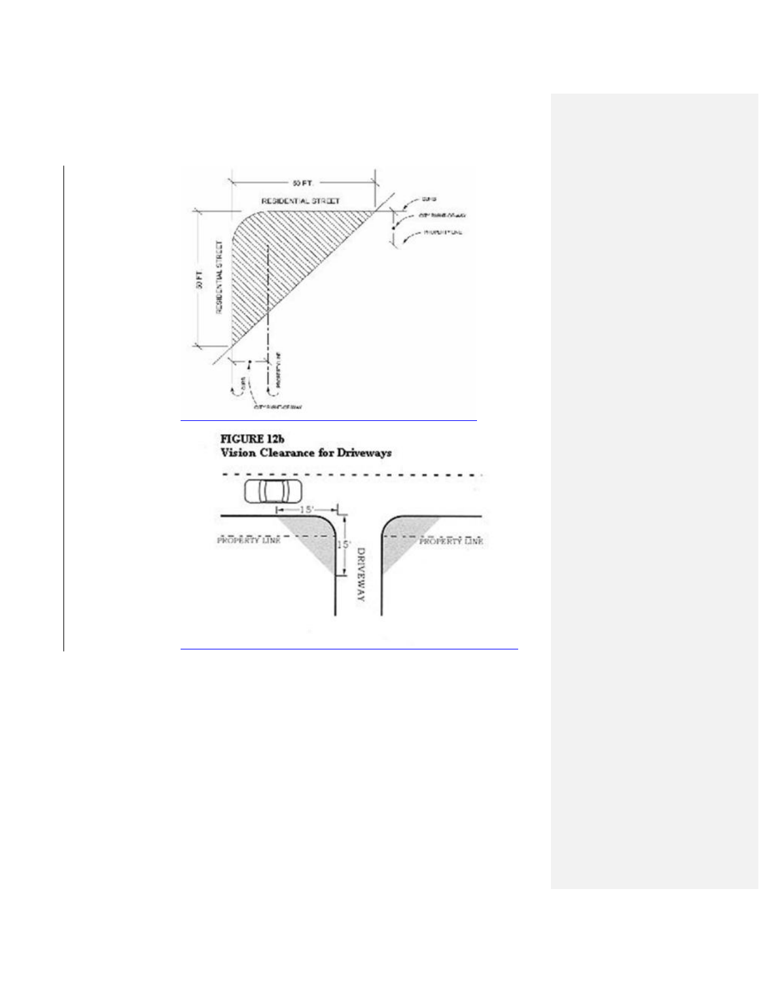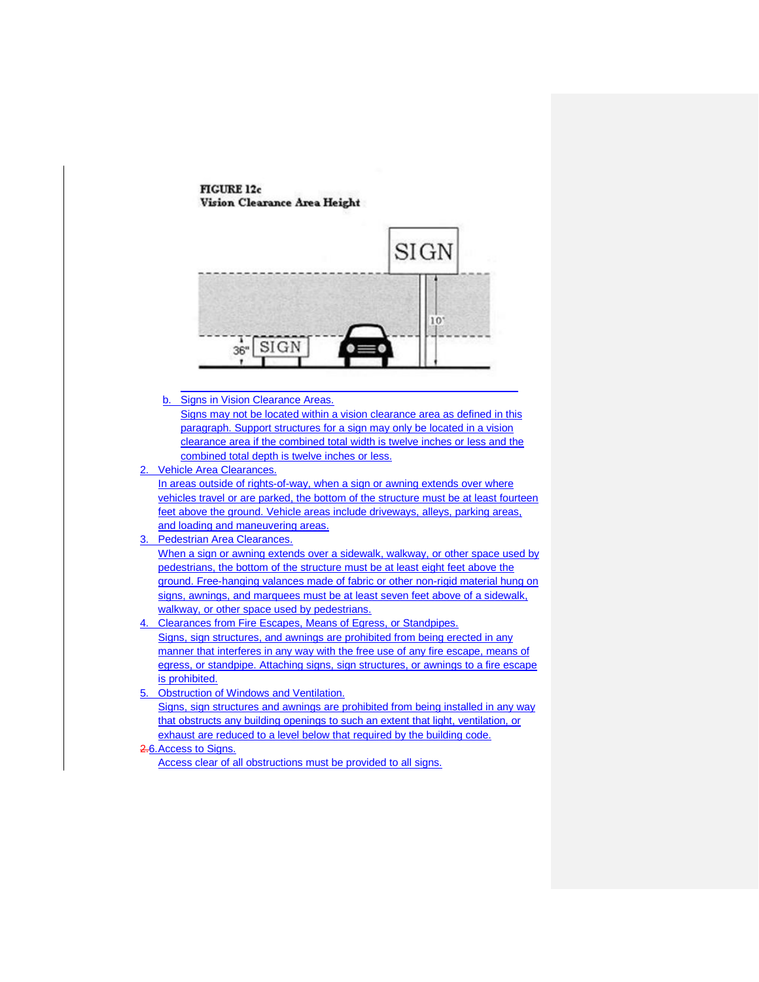**FIGURE 12c** Vision Clearance Area Height



b. Signs in Vision Clearance Areas.

Signs may not be located within a vision clearance area as defined in this paragraph. Support structures for a sign may only be located in a vision clearance area if the combined total width is twelve inches or less and the combined total depth is twelve inches or less.

2. Vehicle Area Clearances.

In areas outside of rights-of-way, when a sign or awning extends over where vehicles travel or are parked, the bottom of the structure must be at least fourteen feet above the ground. Vehicle areas include driveways, alleys, parking areas, and loading and maneuvering areas.

3. Pedestrian Area Clearances.

When a sign or awning extends over a sidewalk, walkway, or other space used by pedestrians, the bottom of the structure must be at least eight feet above the ground. Free-hanging valances made of fabric or other non-rigid material hung on signs, awnings, and marquees must be at least seven feet above of a sidewalk, walkway, or other space used by pedestrians.

- 4. Clearances from Fire Escapes, Means of Egress, or Standpipes. Signs, sign structures, and awnings are prohibited from being erected in any manner that interferes in any way with the free use of any fire escape, means of egress, or standpipe. Attaching signs, sign structures, or awnings to a fire escape is prohibited.
- 5. Obstruction of Windows and Ventilation. Signs, sign structures and awnings are prohibited from being installed in any way that obstructs any building openings to such an extent that light, ventilation, or exhaust are reduced to a level below that required by the building code.

### 2.6.Access to Signs.

Access clear of all obstructions must be provided to all signs.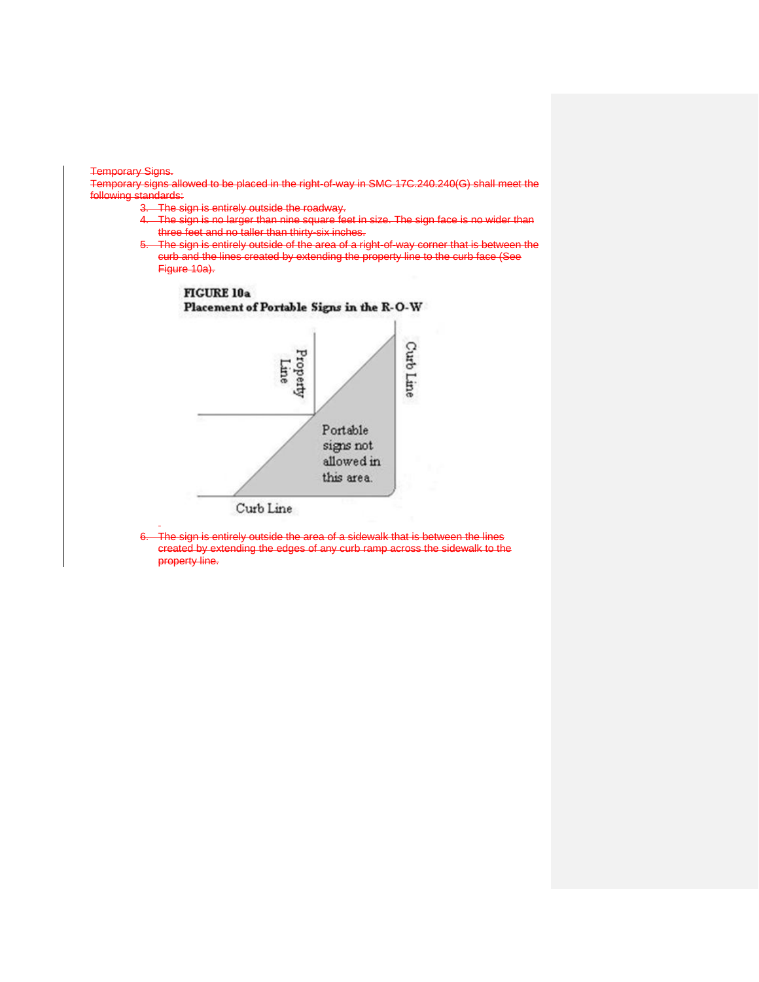#### Temporary Signs.

Temporary signs allowed to be placed in the right-of-way in SMC 17C.240.240(G) shall meet the following standards:

3. The sign is entirely outside the roadway.

- The sign is no larger than nine square feet in size. The sign face is no wider than three feet and no taller than thirty-six inches.
- The sign is entirely outside of the area of a right-of-way corner that is between the curb and the lines created by extending the property line to the curb face (See Figure 10a).



The sign is entirely outside the area of a sidewalk that is between the lines created by extending the edges of any curb ramp across the sidewalk to the property line.